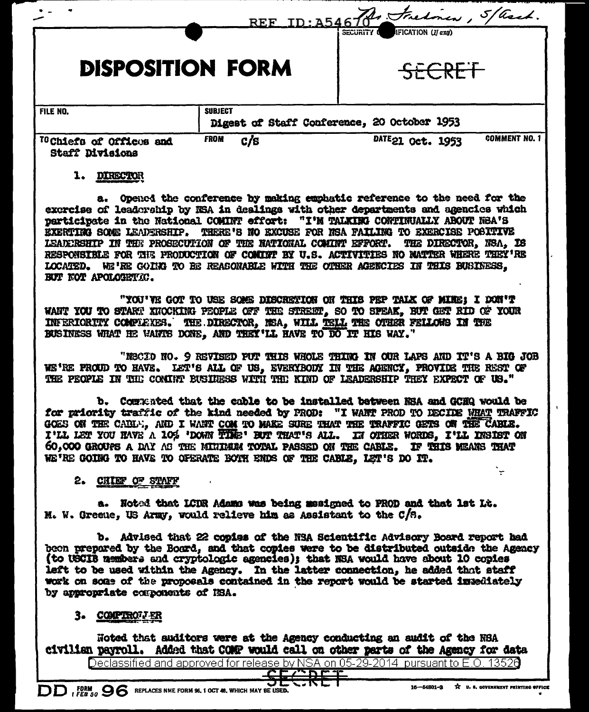|                                                               |                                             | REF ID: A5467 Frelow, 5/ased.              |
|---------------------------------------------------------------|---------------------------------------------|--------------------------------------------|
| <b>DISPOSITION FORM</b>                                       |                                             | IFICATION (If any)<br>SECURITY O<br>SECRET |
| <b>FILE NO.</b>                                               | <b>SUBJECT</b>                              |                                            |
|                                                               | Digest of Staff Conference, 20 October 1953 |                                            |
| <sup>70</sup> Chiefs of Offices and<br><b>Staff Divisions</b> | c/s<br><b>FROM</b>                          | <b>COMMENT NO. 1</b><br>DATE21 Oct. 1953   |

## 1. DIRECTOR

a. Opened the conference by making emphatic reference to the need for the exercise of leadership by NSA in dealings with other departments and agencies which participate in the National COMINT effort: "I'M TALKING CONTINUALLY ABOUT NEA'S EXERTING SOME LEADERSHIP. THERE'S NO EXCUSE FOR NSA FAILING TO EXERCISE POSITIVE LEADERSHIP IN THE PROSECUTION OF THE NATIONAL COMINT EFFORT. THE DIRECTOR, NSA, IS RESPONSIBLE FOR THE PRODUCTION OF COMINT BY U.S. ACTIVITIES NO MATTER WHERE THEY'RE LOCATED. WE'RE GOING TO BE REASONABLE WITH THE OTHER AGENCIES IN THIS BUSINESS. BUT NOT APOLOGETIC.

"YOU'VE GOT TO USE SOME DISCRETION ON THIS PEP TALK OF MINE; I DON'T WANT YOU TO START XNOCKING PEOPLE OFF THE STREET. SO TO SPEAK. BUT GET RID OF YOUR INFERIORITY COMPLEXES. THE DIRECTOR, NSA, WILL TELL THE OTHER FELLOWS IN THE BUSINESS WHAT HE WANTS DONE. AND THEY'LL HAVE TO DO IT HIS WAY."

"NSCIO NO. 9 REVISED PUT THIS WHOLE THING IN OUR LAPS AND IT'S A BIG JOB WE'RE PROUD TO HAVE. LET'S ALL OF US. EVERYBODY IN THE AGENCY. PROVIDE THE REST OF THE PEOPLE IN THE COMINY BUSINESS WITH THE KIND OF LEADERSHIP THEY EXPECT OF US."

b. Commented that the cable to be installed batween NSA and GCHQ would be for priority traffic of the kind needed by PROD: "I WANT PROD TO DECIDE WHAT TRAFFIC GOES ON THE CABLE, AND I WANT COM TO MAKE SURE THAT THE TRAFFIC GETS ON THE CABLE. I'LL LET YOU HAVE A 10% 'DOWN TIME' BUT THAT'S ALL. IN OTHER WORDS, I'LL INSIST ON 60,000 GROUPS A DAY AS THE MINIMUM TOTAL PASSED ON THE CABLE. IF THIS MEANS THAT WE'RE GOING TO HAVE TO OFERATE BOTH ENDS OF THE CABLE, LET'S DO IT.

## 2. CHIEF OF STAFF

a. Noted that LCDR Adams was being masigned to PROD and that lat Lt. M. W. Greene, US Army, would relieve him as Assistant to the C/S.

b. Advised that 22 copies of the NSA Scientific Advisory Board report had been prepared by the Board, and that copies were to be distributed outside the Agency (to USCIB members and cryptologic agencies); that NSA would have about 10 copies left to be used within the Agency. In the latter connection, he added that staff work on some of the proposals contained in the report would be started immediately by annotopriate components of HSA.

## 3. COMPTROLLER

Noted that auditors were at the Agency conducting an audit of the NBA civilian payroll. Added that COMP would call on other parts of the Agency for data

Declassified and approved for release by NSA on 05-29-2014 pursuant to E.O. 13526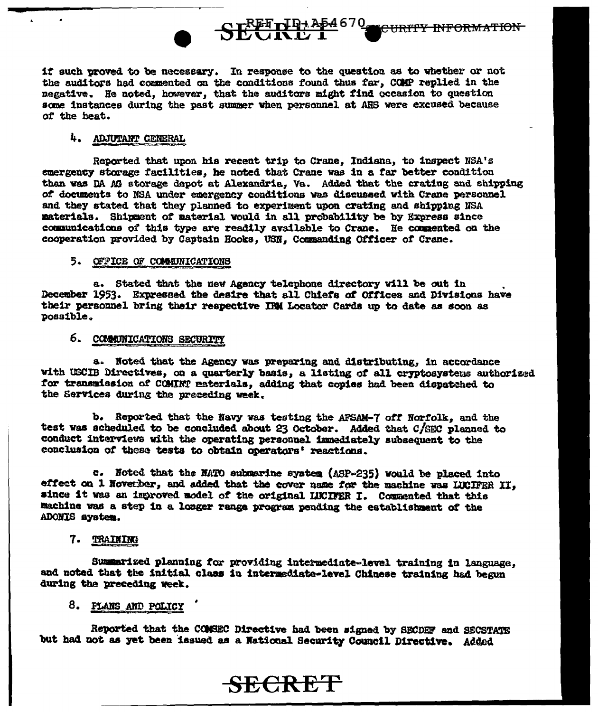if such proved to be necessary. In response to the question as to whether or not the auditors had commented on the conditions found thus far, COMP replied in the negative. He noted, however, that the auditors might find occasion to question some instances during the past summer when personnel at AHS were excused because of the heat.

SEETHRAP4670

**CURITY INFORMATION** 

## 4. ADJUTANT GENERAL

Reported that upon his recent trip to Crane, Indiana, to inspect NSA's emergency storage facilities, he noted that Crane was in a far better condition than was DA AG storage depot at Alexandria, Va. Added that the crating and shipping of documents to NSA under emergency conditions was discussed with Crane personnel and they stated that they planned to experiment upon crating and shipping NSA materials. Shipment of material would in all probability be by Express since communications of this type are readily available to Crane. He commented on the cooperation provided by Captain Hooks, USN. Commanding Officer of Crane.

#### 5. OFFICE OF COMMUNICATIONS

a. Stated that the new Agency telephone directory will be out in December 1953. Expressed the desire that all Chiefs of Offices and Divisions have their personnel bring their respective IBM Locator Cards up to date as soon as possible.

## 6. COMMINICATIONS SECURITY

a. Noted that the Agency was preparing and distributing, in accordance with USCIB Directives, on a quarterly basis, a listing of all cryptosystems authorized for transmission of COMINT materials, adding that copies had been dispatched to the Services during the preceding week.

b. Reported that the Navy was testing the AFSAM-7 off Norfolk, and the test was scheduled to be concluded about 23 October. Added that C/SEC planned to conduct interviews with the operating personnel immediately subsequent to the conclusion of these tests to obtain operators' reactions.

c. Noted that the NATO submarine system (ASP-235) would be placed into effect on 1 November, and added that the cover name for the machine was LUCIFER II. since it was an improved model of the original LUCIFER I. Commented that this machine was a step in a longer range program pending the establishment of the ADONIS system.

## 7. TRAINING

Summarized planning for providing intermediate-level training in language. and noted that the initial class in intermediate-level Chinese training had begun during the preceding week.

## 8. PLANS AND POLICY

Reported that the COMSEC Directive had been signed by SECDEF and SECSTATE but had not as yet been issued as a National Security Council Directive. Added

**SECRET**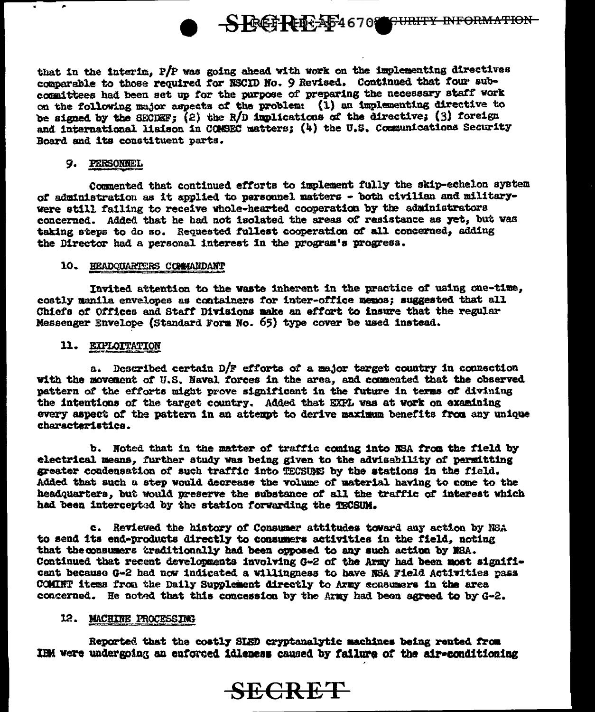

that in the interim. P/P was going ahead with work on the implementing directives comparable to those required for NSCID No. 9 Revised. Continued that four subcommittees had been set up for the purpose of preparing the necessary staff work on the following major aspects of the problem: (1) an implementing directive to be signed by the SECDEF; (2) the R/D implications of the directive: (3) foreign and international lisison in COMSEC matters; (4) the U.S. Communications Security Board and its constituent parts.

#### 9. PERSONNEL

Commented that continued efforts to implement fully the skip-echelon system of administration as it applied to personnel matters - both civilian and militarywere still failing to receive whole-hearted cooperation by the administrators concerned. Added that he had not isolated the areas of resistance as yet, but was taking steps to do so. Requested fullest cooperation of all concerned, adding the Director had a personal interest in the program's progress.

#### 10. HEADQUARTERS COMMANDANT

Invited attention to the waste inherent in the practice of using one-time, costly manila envelopes as containers for inter-office memos; suggested that all Chiefs of Offices and Staff Divisions make an effort to insure that the regular Messenger Envelope (Standard Form No. 65) type cover be used instead.

#### 11. EXPLOITATION

a. Described certain D/F efforts of a major target country in connection with the movement of U.S. Naval forces in the area, and commented that the observed pattern of the efforts might prove significant in the future in terms of divining the intentions of the target country. Added that EXPL was at work on examining every aspect of the pattern in an attempt to derive maximum benefits from any unique characteristics.

b. Noted that in the matter of traffic coming into NSA from the field by electrical means, further study was being given to the advisability of permitting greater condensation of such traffic into TECSUMS by the stations in the field. Added that such a step would decrease the volume of material having to come to the headquarters, but would preserve the substance of all the traffic of interest which had been intercepted by the station forwarding the TECSUM.

c. Reviewed the history of Consumer attitudes toward any action by NSA to send its end-products directly to consumers activities in the field, noting that the consumers traditionally had been opposed to any such action by NSA. Continued that recent developments involving G-2 of the Army had been most significant because G-2 had now indicated a willingness to have NSA Field Activities pass COMINT items from the Daily Supplement directly to Army consumers in the area concerned. He noted that this concession by the Army had been agreed to by G-2.

#### 12. MACHINE PROCESSING

Reported that the costly SLED cryptanalytic machines being rented from IRM were undergoing an enforced idleness caused by failure of the air-conditioning

# **SECRET**